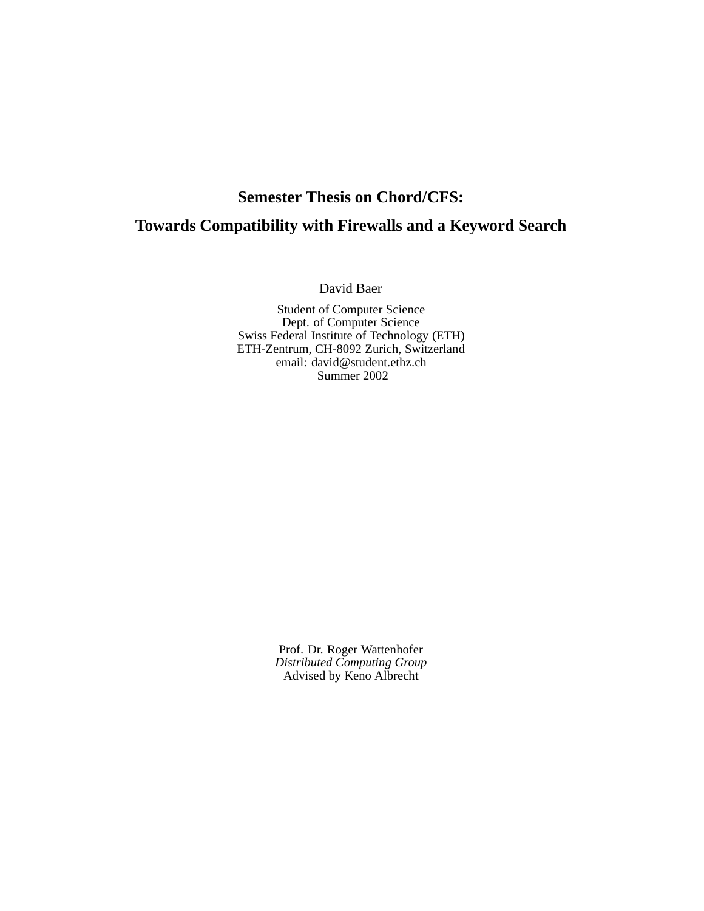# **Semester Thesis on Chord/CFS: Towards Compatibility with Firewalls and a Keyword Search**

David Baer

Student of Computer Science Dept. of Computer Science Swiss Federal Institute of Technology (ETH) ETH-Zentrum, CH-8092 Zurich, Switzerland email: david@student.ethz.ch Summer 2002

> Prof. Dr. Roger Wattenhofer *Distributed Computing Group* Advised by Keno Albrecht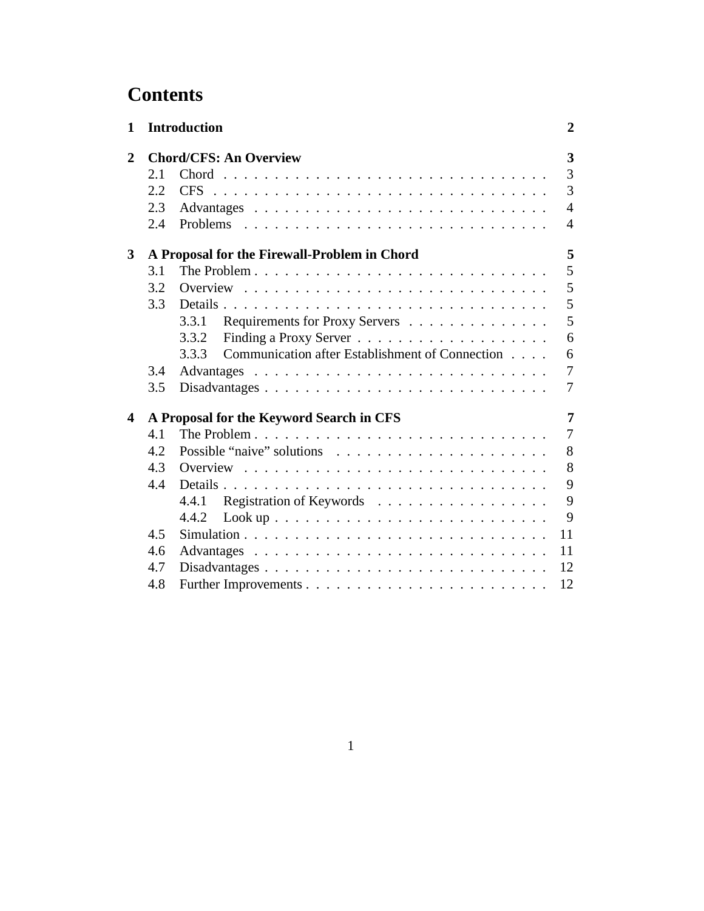# **Contents**

| 1              |     | <b>Introduction</b>                                                                                                    | $\boldsymbol{2}$ |
|----------------|-----|------------------------------------------------------------------------------------------------------------------------|------------------|
| $\overline{2}$ |     | <b>Chord/CFS: An Overview</b>                                                                                          | 3                |
|                | 2.1 |                                                                                                                        | $\overline{3}$   |
|                | 2.2 |                                                                                                                        | 3                |
|                | 2.3 |                                                                                                                        | $\overline{4}$   |
|                | 2.4 |                                                                                                                        | $\overline{4}$   |
| 3              |     | A Proposal for the Firewall-Problem in Chord                                                                           | 5                |
|                | 3.1 |                                                                                                                        | 5                |
|                | 3.2 |                                                                                                                        | 5                |
|                | 3.3 |                                                                                                                        | 5                |
|                |     | 3.3.1<br>Requirements for Proxy Servers                                                                                | 5                |
|                |     | 3.3.2                                                                                                                  | 6                |
|                |     | Communication after Establishment of Connection<br>3.3.3                                                               | 6                |
|                | 3.4 |                                                                                                                        | 7                |
|                | 3.5 | Disadvantages                                                                                                          | 7                |
| 4              |     | A Proposal for the Keyword Search in CFS                                                                               | 7                |
|                | 4.1 |                                                                                                                        | $\overline{7}$   |
|                | 4.2 |                                                                                                                        | 8                |
|                | 4.3 |                                                                                                                        | 8                |
|                | 4.4 | Details                                                                                                                | 9                |
|                |     | Registration of Keywords<br>4.4.1                                                                                      | 9                |
|                |     | 4.4.2                                                                                                                  | 9                |
|                | 4.5 | Simulation $\ldots$ , $\ldots$ , $\ldots$ , $\ldots$ , $\ldots$ , $\ldots$ , $\ldots$ , $\ldots$ , $\ldots$ , $\ldots$ | 11               |
|                | 4.6 |                                                                                                                        | 11               |
|                | 4.7 | Disadvantages                                                                                                          | 12               |
|                | 4.8 |                                                                                                                        | 12               |
|                |     |                                                                                                                        |                  |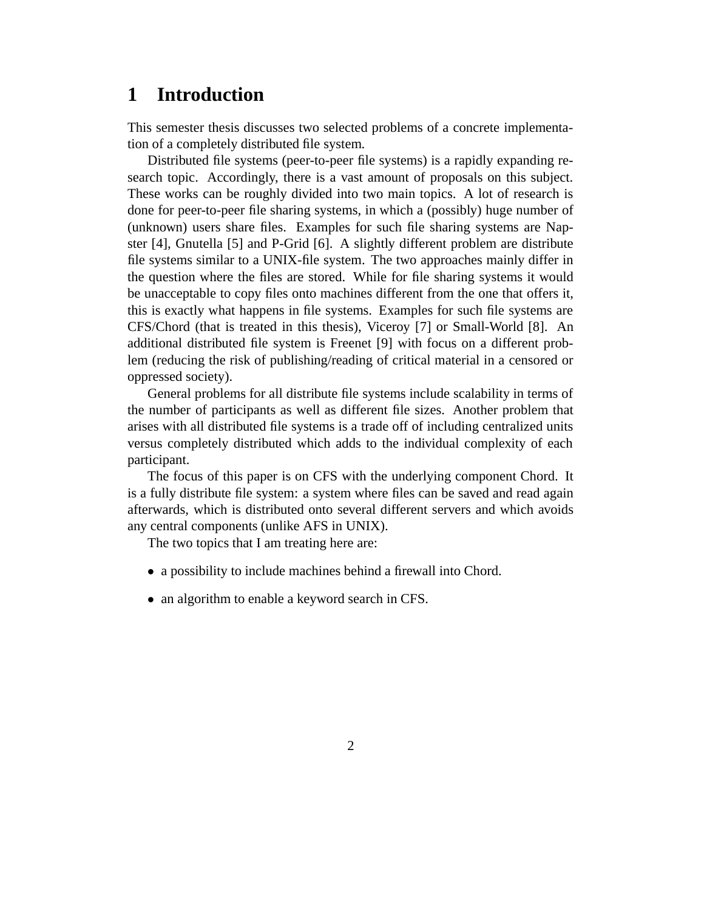# **1 Introduction**

This semester thesis discusses two selected problems of a concrete implementation of a completely distributed file system.

Distributed file systems (peer-to-peer file systems) is a rapidly expanding research topic. Accordingly, there is a vast amount of proposals on this subject. These works can be roughly divided into two main topics. A lot of research is done for peer-to-peer file sharing systems, in which a (possibly) huge number of (unknown) users share files. Examples for such file sharing systems are Napster [4], Gnutella [5] and P-Grid [6]. A slightly different problem are distribute file systems similar to a UNIX-file system. The two approaches mainly differ in the question where the files are stored. While for file sharing systems it would be unacceptable to copy files onto machines different from the one that offers it, this is exactly what happens in file systems. Examples for such file systems are CFS/Chord (that is treated in this thesis), Viceroy [7] or Small-World [8]. An additional distributed file system is Freenet [9] with focus on a different problem (reducing the risk of publishing/reading of critical material in a censored or oppressed society).

General problems for all distribute file systems include scalability in terms of the number of participants as well as different file sizes. Another problem that arises with all distributed file systems is a trade off of including centralized units versus completely distributed which adds to the individual complexity of each participant.

The focus of this paper is on CFS with the underlying component Chord. It is a fully distribute file system: a system where files can be saved and read again afterwards, which is distributed onto several different servers and which avoids any central components (unlike AFS in UNIX).

The two topics that I am treating here are:

- a possibility to include machines behind a firewall into Chord.
- an algorithm to enable a keyword search in CFS.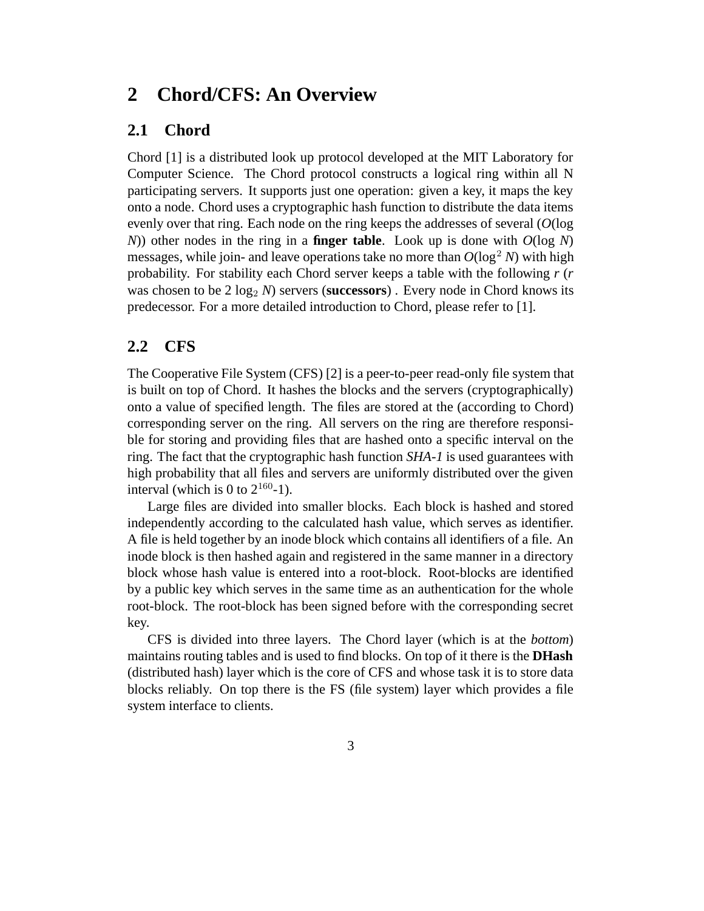# **2 Chord/CFS: An Overview**

## **2.1 Chord**

Chord [1] is a distributed look up protocol developed at the MIT Laboratory for Computer Science. The Chord protocol constructs a logical ring within all N participating servers. It supports just one operation: given a key, it maps the key onto a node. Chord uses a cryptographic hash function to distribute the data items evenly over that ring. Each node on the ring keeps the addresses of several (*O*(log *N*)) other nodes in the ring in a **finger table**. Look up is done with *O*(log *N*) messages, while join- and leave operations take no more than  $O(\log^2 N)$  with high probability. For stability each Chord server keeps a table with the following *r* (*r* was chosen to be  $2 \log_2 N$ ) servers (**successors**). Every node in Chord knows its predecessor. For a more detailed introduction to Chord, please refer to [1].

### **2.2 CFS**

The Cooperative File System (CFS) [2] is a peer-to-peer read-only file system that is built on top of Chord. It hashes the blocks and the servers (cryptographically) onto a value of specified length. The files are stored at the (according to Chord) corresponding server on the ring. All servers on the ring are therefore responsible for storing and providing files that are hashed onto a specific interval on the ring. The fact that the cryptographic hash function *SHA-1* is used guarantees with high probability that all files and servers are uniformly distributed over the given interval (which is 0 to  $2^{160}$ -1).

Large files are divided into smaller blocks. Each block is hashed and stored independently according to the calculated hash value, which serves as identifier. A file is held together by an inode block which contains all identifiers of a file. An inode block is then hashed again and registered in the same manner in a directory block whose hash value is entered into a root-block. Root-blocks are identified by a public key which serves in the same time as an authentication for the whole root-block. The root-block has been signed before with the corresponding secret key.

CFS is divided into three layers. The Chord layer (which is at the *bottom*) maintains routing tables and is used to find blocks. On top of it there is the **DHash** (distributed hash) layer which is the core of CFS and whose task it is to store data blocks reliably. On top there is the FS (file system) layer which provides a file system interface to clients.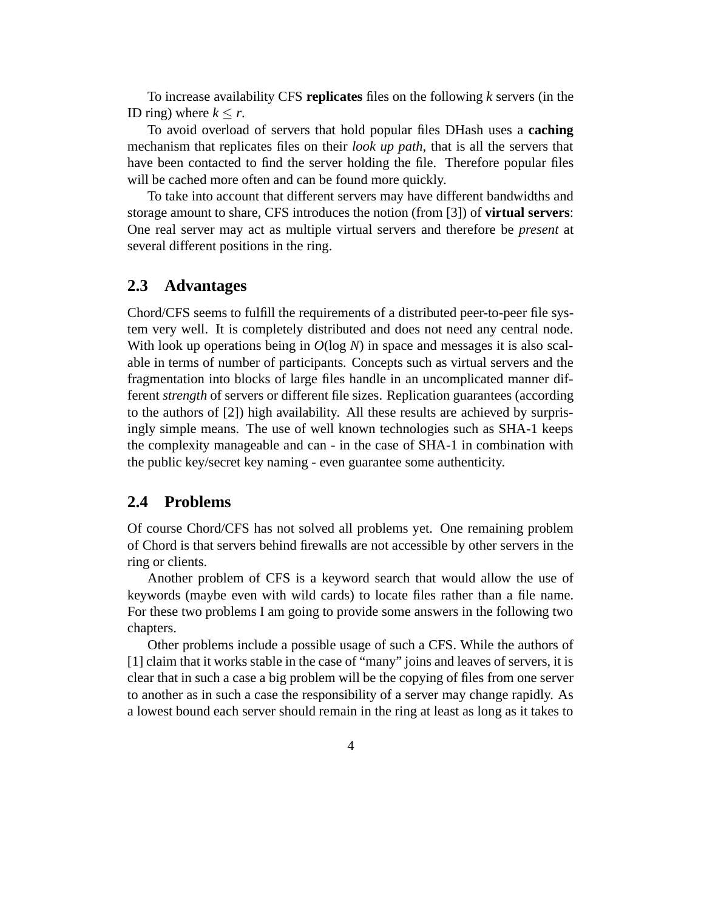To increase availability CFS **replicates** files on the following *k* servers (in the ID ring) where  $k < r$ .

To avoid overload of servers that hold popular files DHash uses a **caching** mechanism that replicates files on their *look up path*, that is all the servers that have been contacted to find the server holding the file. Therefore popular files will be cached more often and can be found more quickly.

To take into account that different servers may have different bandwidths and storage amount to share, CFS introduces the notion (from [3]) of **virtual servers**: One real server may act as multiple virtual servers and therefore be *present* at several different positions in the ring.

#### **2.3 Advantages**

Chord/CFS seems to fulfill the requirements of a distributed peer-to-peer file system very well. It is completely distributed and does not need any central node. With look up operations being in *O*(log *N*) in space and messages it is also scalable in terms of number of participants. Concepts such as virtual servers and the fragmentation into blocks of large files handle in an uncomplicated manner different *strength* of servers or different file sizes. Replication guarantees (according to the authors of [2]) high availability. All these results are achieved by surprisingly simple means. The use of well known technologies such as SHA-1 keeps the complexity manageable and can - in the case of SHA-1 in combination with the public key/secret key naming - even guarantee some authenticity.

#### **2.4 Problems**

Of course Chord/CFS has not solved all problems yet. One remaining problem of Chord is that servers behind firewalls are not accessible by other servers in the ring or clients.

Another problem of CFS is a keyword search that would allow the use of keywords (maybe even with wild cards) to locate files rather than a file name. For these two problems I am going to provide some answers in the following two chapters.

Other problems include a possible usage of such a CFS. While the authors of [1] claim that it works stable in the case of "many" joins and leaves of servers, it is clear that in such a case a big problem will be the copying of files from one server to another as in such a case the responsibility of a server may change rapidly. As a lowest bound each server should remain in the ring at least as long as it takes to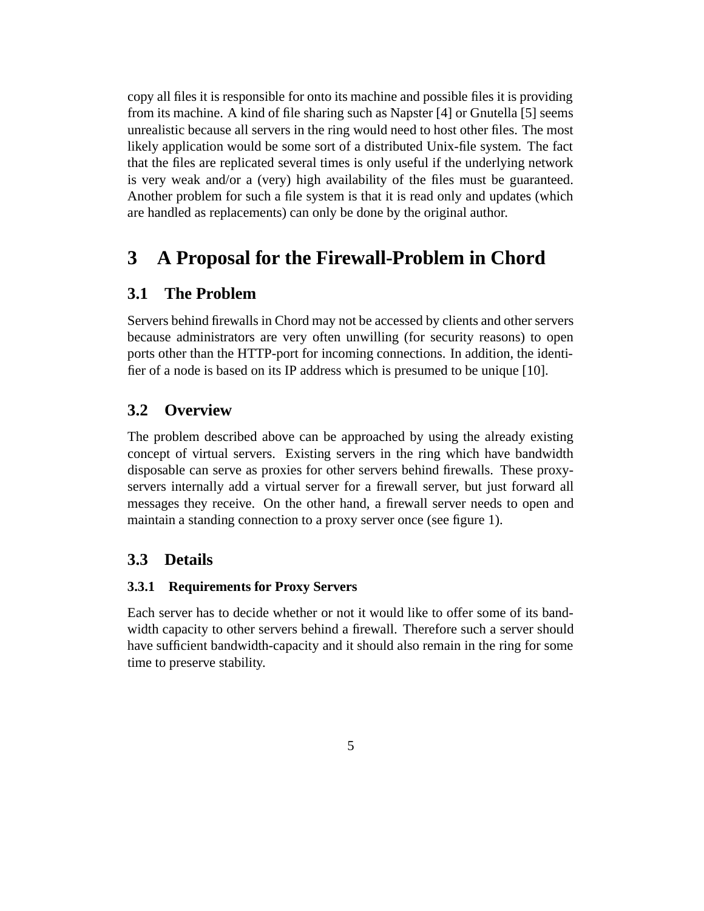copy all files it is responsible for onto its machine and possible files it is providing from its machine. A kind of file sharing such as Napster [4] or Gnutella [5] seems unrealistic because all servers in the ring would need to host other files. The most likely application would be some sort of a distributed Unix-file system. The fact that the files are replicated several times is only useful if the underlying network is very weak and/or a (very) high availability of the files must be guaranteed. Another problem for such a file system is that it is read only and updates (which are handled as replacements) can only be done by the original author.

# **3 A Proposal for the Firewall-Problem in Chord**

### **3.1 The Problem**

Servers behind firewalls in Chord may not be accessed by clients and other servers because administrators are very often unwilling (for security reasons) to open ports other than the HTTP-port for incoming connections. In addition, the identifier of a node is based on its IP address which is presumed to be unique [10].

# **3.2 Overview**

The problem described above can be approached by using the already existing concept of virtual servers. Existing servers in the ring which have bandwidth disposable can serve as proxies for other servers behind firewalls. These proxyservers internally add a virtual server for a firewall server, but just forward all messages they receive. On the other hand, a firewall server needs to open and maintain a standing connection to a proxy server once (see figure 1).

### **3.3 Details**

#### **3.3.1 Requirements for Proxy Servers**

Each server has to decide whether or not it would like to offer some of its bandwidth capacity to other servers behind a firewall. Therefore such a server should have sufficient bandwidth-capacity and it should also remain in the ring for some time to preserve stability.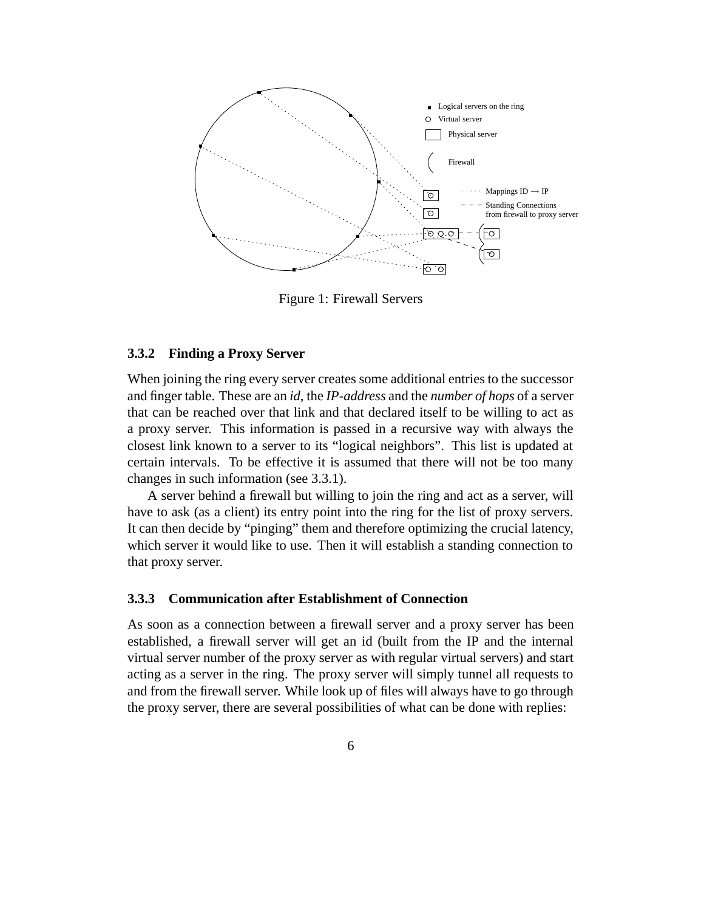

Figure 1: Firewall Servers

#### **3.3.2 Finding a Proxy Server**

When joining the ring every server creates some additional entries to the successor and finger table. These are an *id*, the *IP-address* and the *number of hops* of a server that can be reached over that link and that declared itself to be willing to act as a proxy server. This information is passed in a recursive way with always the closest link known to a server to its "logical neighbors". This list is updated at certain intervals. To be effective it is assumed that there will not be too many changes in such information (see 3.3.1).

A server behind a firewall but willing to join the ring and act as a server, will have to ask (as a client) its entry point into the ring for the list of proxy servers. It can then decide by "pinging" them and therefore optimizing the crucial latency, which server it would like to use. Then it will establish a standing connection to that proxy server.

#### **3.3.3 Communication after Establishment of Connection**

As soon as a connection between a firewall server and a proxy server has been established, a firewall server will get an id (built from the IP and the internal virtual server number of the proxy server as with regular virtual servers) and start acting as a server in the ring. The proxy server will simply tunnel all requests to and from the firewall server. While look up of files will always have to go through the proxy server, there are several possibilities of what can be done with replies: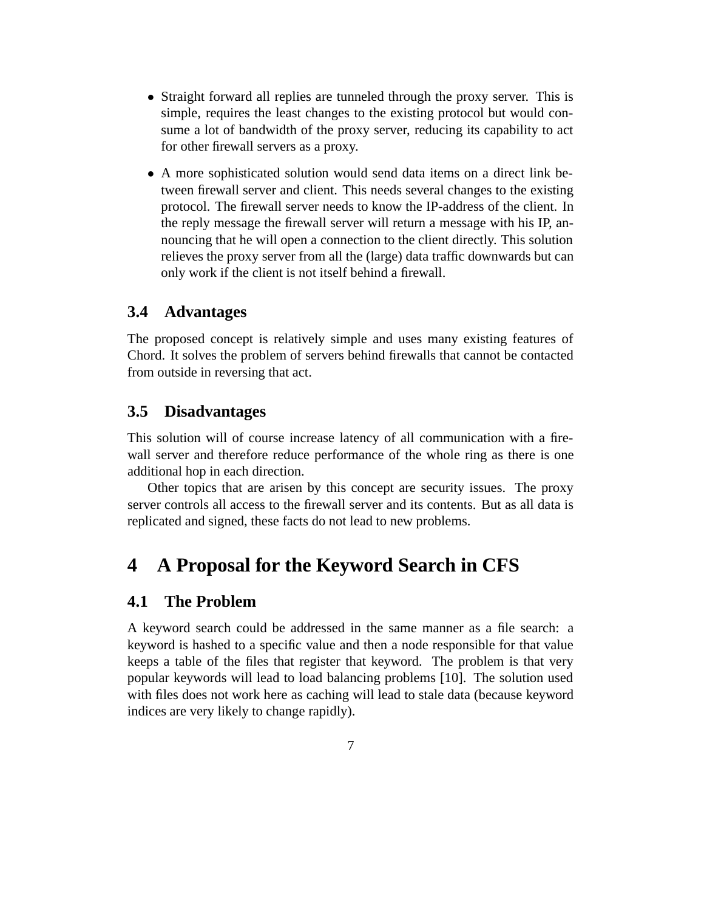- Straight forward all replies are tunneled through the proxy server. This is simple, requires the least changes to the existing protocol but would consume a lot of bandwidth of the proxy server, reducing its capability to act for other firewall servers as a proxy.
- A more sophisticated solution would send data items on a direct link between firewall server and client. This needs several changes to the existing protocol. The firewall server needs to know the IP-address of the client. In the reply message the firewall server will return a message with his IP, announcing that he will open a connection to the client directly. This solution relieves the proxy server from all the (large) data traffic downwards but can only work if the client is not itself behind a firewall.

### **3.4 Advantages**

The proposed concept is relatively simple and uses many existing features of Chord. It solves the problem of servers behind firewalls that cannot be contacted from outside in reversing that act.

### **3.5 Disadvantages**

This solution will of course increase latency of all communication with a firewall server and therefore reduce performance of the whole ring as there is one additional hop in each direction.

Other topics that are arisen by this concept are security issues. The proxy server controls all access to the firewall server and its contents. But as all data is replicated and signed, these facts do not lead to new problems.

# **4 A Proposal for the Keyword Search in CFS**

### **4.1 The Problem**

A keyword search could be addressed in the same manner as a file search: a keyword is hashed to a specific value and then a node responsible for that value keeps a table of the files that register that keyword. The problem is that very popular keywords will lead to load balancing problems [10]. The solution used with files does not work here as caching will lead to stale data (because keyword indices are very likely to change rapidly).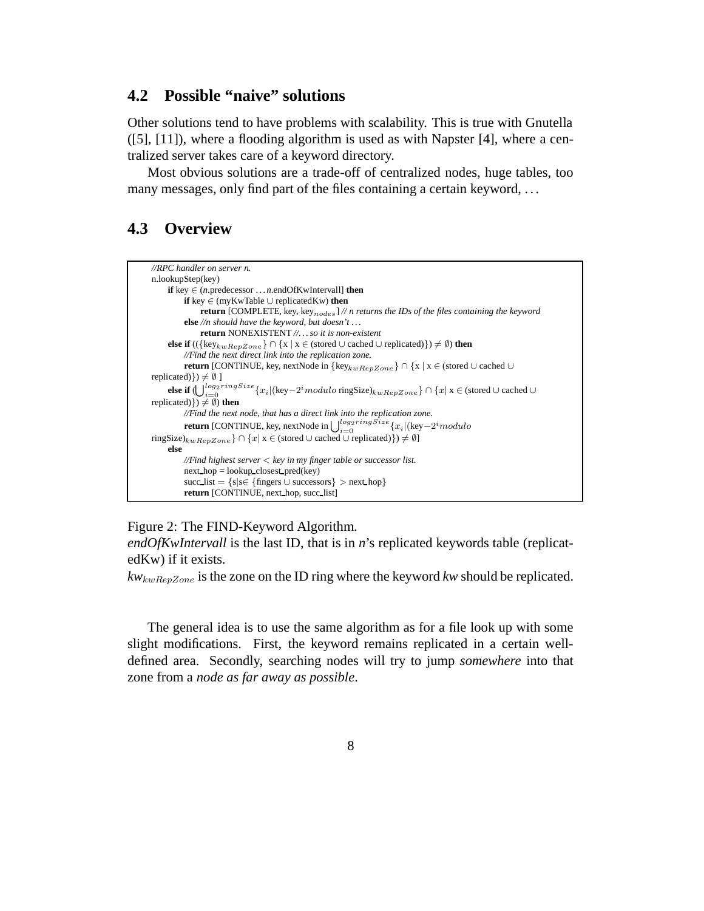### **4.2 Possible "naive" solutions**

Other solutions tend to have problems with scalability. This is true with Gnutella  $([5], [11])$ , where a flooding algorithm is used as with Napster [4], where a centralized server takes care of a keyword directory.

Most obvious solutions are a trade-off of centralized nodes, huge tables, too many messages, only find part of the files containing a certain keyword, ...

# **4.3 Overview**



Figure 2: The FIND-Keyword Algorithm.

*endOfKwIntervall* is the last ID, that is in *n*'s replicated keywords table (replicatedKw) if it exists.

*kw*kwRepZone is the zone on the ID ring where the keyword *kw* should be replicated.

The general idea is to use the same algorithm as for a file look up with some slight modifications. First, the keyword remains replicated in a certain welldefined area. Secondly, searching nodes will try to jump *somewhere* into that zone from a *node as far away as possible*.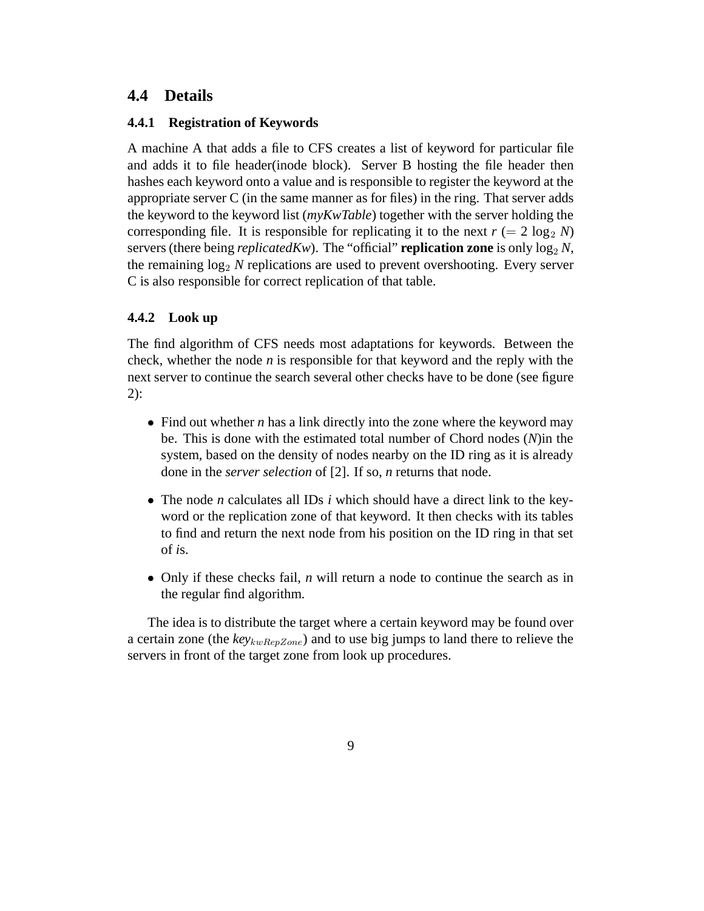## **4.4 Details**

#### **4.4.1 Registration of Keywords**

A machine A that adds a file to CFS creates a list of keyword for particular file and adds it to file header(inode block). Server B hosting the file header then hashes each keyword onto a value and is responsible to register the keyword at the appropriate server C (in the same manner as for files) in the ring. That server adds the keyword to the keyword list (*myKwTable*) together with the server holding the corresponding file. It is responsible for replicating it to the next  $r (= 2 \log_2 N)$ servers (there being *replicatedKw*). The "official" **replication zone** is only  $\log_2 N$ , the remaining  $log_2 N$  replications are used to prevent overshooting. Every server C is also responsible for correct replication of that table.

#### **4.4.2 Look up**

The find algorithm of CFS needs most adaptations for keywords. Between the check, whether the node  $n$  is responsible for that keyword and the reply with the next server to continue the search several other checks have to be done (see figure 2):

- Find out whether *n* has a link directly into the zone where the keyword may be. This is done with the estimated total number of Chord nodes (*N*)in the system, based on the density of nodes nearby on the ID ring as it is already done in the *server selection* of [2]. If so, *n* returns that node.
- The node *n* calculates all IDs *i* which should have a direct link to the keyword or the replication zone of that keyword. It then checks with its tables to find and return the next node from his position on the ID ring in that set of *i*s.
- Only if these checks fail, *n* will return a node to continue the search as in the regular find algorithm.

The idea is to distribute the target where a certain keyword may be found over a certain zone (the  $key_{kwRenZone}$ ) and to use big jumps to land there to relieve the servers in front of the target zone from look up procedures.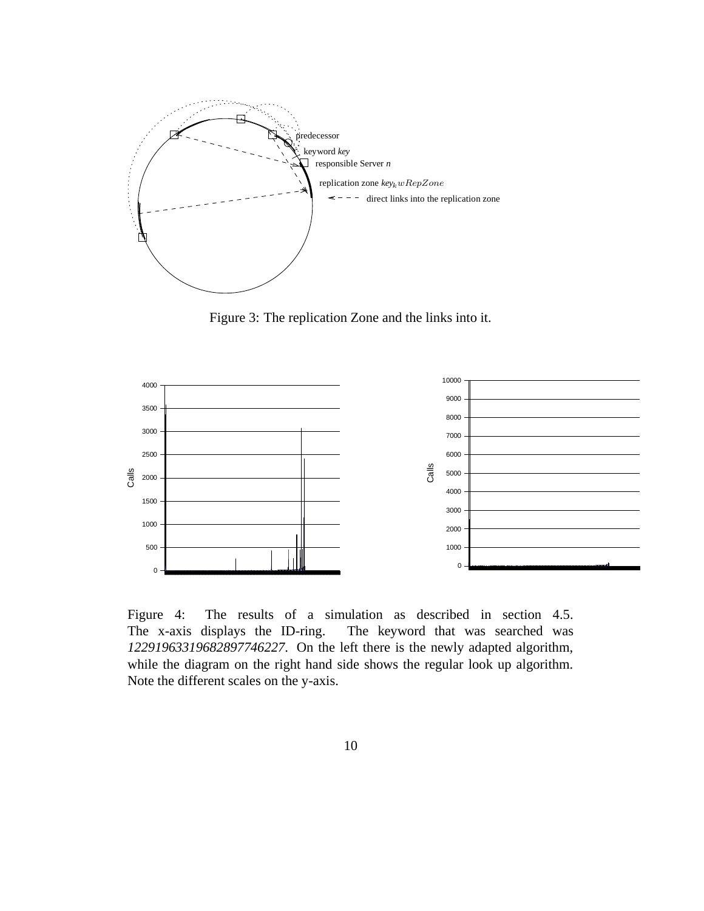

Figure 3: The replication Zone and the links into it.



Figure 4: The results of a simulation as described in section 4.5. The x-axis displays the ID-ring. The keyword that was searched was . On the left there is the newly adapted algorithm, while the diagram on the right hand side shows the regular look up algorithm. Note the different scales on the y-axis.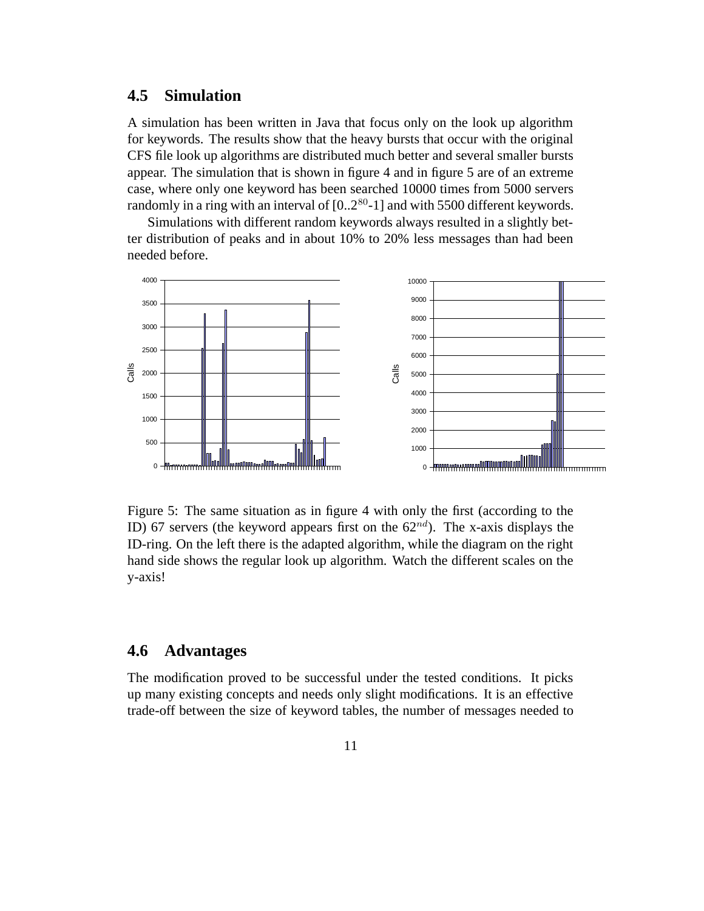### **4.5 Simulation**

A simulation has been written in Java that focus only on the look up algorithm for keywords. The results show that the heavy bursts that occur with the original CFS file look up algorithms are distributed much better and several smaller bursts appear. The simulation that is shown in figure 4 and in figure 5 are of an extreme case, where only one keyword has been searched 10000 times from 5000 servers randomly in a ring with an interval of  $[0..2^{80}$ -1] and with 5500 different keywords.

Simulations with different random keywords always resulted in a slightly better distribution of peaks and in about 10% to 20% less messages than had been needed before.



Figure 5: The same situation as in figure 4 with only the first (according to the ID) 67 servers (the keyword appears first on the  $62^{nd}$ ). The x-axis displays the ID-ring. On the left there is the adapted algorithm, while the diagram on the right hand side shows the regular look up algorithm. Watch the different scales on the y-axis!

#### **4.6 Advantages**

The modification proved to be successful under the tested conditions. It picks up many existing concepts and needs only slight modifications. It is an effective trade-off between the size of keyword tables, the number of messages needed to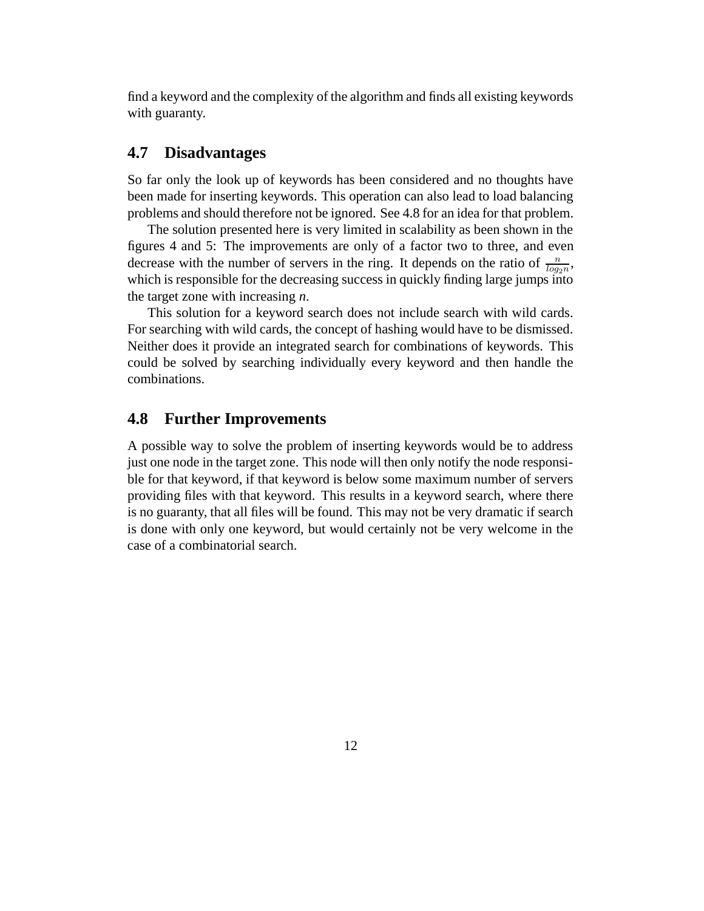find a keyword and the complexity of the algorithm and finds all existing keywords with guaranty.

#### **4.7 Disadvantages**

So far only the look up of keywords has been considered and no thoughts have been made for inserting keywords. This operation can also lead to load balancing problems and should therefore not be ignored. See 4.8 for an idea for that problem.

The solution presented here is very limited in scalability as been shown in the figures 4 and 5: The improvements are only of a factor two to three, and even decrease with the number of servers in the ring. It depends on the ratio of  $\frac{n}{log_2 n}$ , which is responsible for the decreasing success in quickly finding large jumps into the target zone with increasing *n*.

This solution for a keyword search does not include search with wild cards. For searching with wild cards, the concept of hashing would have to be dismissed. Neither does it provide an integrated search for combinations of keywords. This could be solved by searching individually every keyword and then handle the combinations.

### **4.8 Further Improvements**

A possible way to solve the problem of inserting keywords would be to address just one node in the target zone. This node will then only notify the node responsible for that keyword, if that keyword is below some maximum number of servers providing files with that keyword. This results in a keyword search, where there is no guaranty, that all files will be found. This may not be very dramatic if search is done with only one keyword, but would certainly not be very welcome in the case of a combinatorial search.